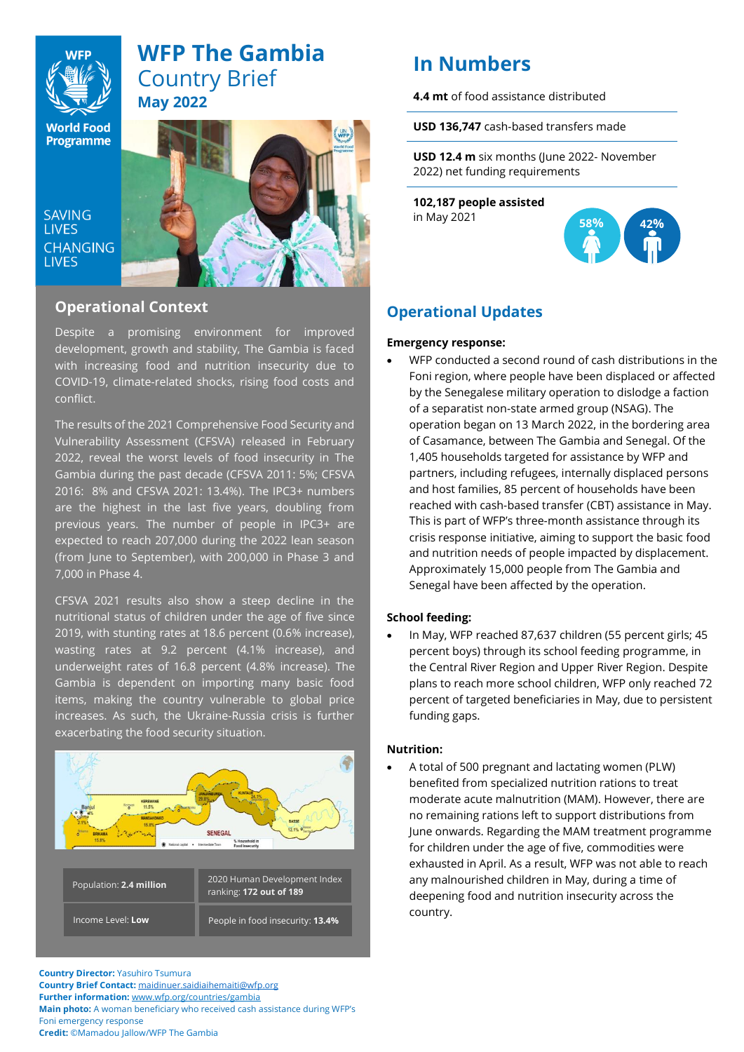

# **WFP The Gambia** Country Brief **May 2022**

**World Food Programme** 

SAVING **LIVES LIVES** 



# **Operational Context** and beneficial context

Despite a promising environment for improved development, growth and stability, The Gambia is faced with increasing food and nutrition insecurity due to COVID-19, climate-related shocks, rising food costs and conflict.

The results of the 2021 Comprehensive Food Security and Vulnerability Assessment (CFSVA) released in February  $\begin{bmatrix} \phantom{\overline{F}} \end{bmatrix}$ 2022, reveal the worst levels of food insecurity in The  $\|\cdot\|$ Gambia during the past decade (CFSVA 2011: 5%; CFSVA | 2016: 8% and CFSVA 2021: 13.4%). The IPC3+ numbers are the highest in the last five years, doubling from previous years. The number of people in IPC3+ are expected to reach 207,000 during the 2022 lean season (from June to September), with 200,000 in Phase 3 and  $\overline{\phantom{a}}$ Legislative Elections in April 2022, the Country 7,000 in Phase 4.

CFSVA 2021 results also show a steep decline in the nutritional status of children under the age of five since 2019, with stunting rates at 18.6 percent (0.6% increase), wasting rates at 9.2 percent (4.1% increase), and  $\overline{\text{underweight}}$  rates of 16.8 percent (4.8% increase). The Gambia is dependent on importing many basic food programmes and programs and passes root items, making the country vulnerable to global price increases. As such, the Ukraine-Russia crisis is further exacerbating the food security situation.



**Country Director:** Yasuhiro Tsumura **Country Brief Contact:** [maidinuer.saidiaihemaiti@wfp.org](mailto:maidinuer.saidiaihemaiti@wfp.org) **Further information:** [www.wfp.org/countries/gambia](http://www.wfp.org/countries/gambia) **Main photo:** A woman beneficiary who received cash assistance during WFP's Foni emergency response **Credit:** ©Mamadou Jallow/WFP The Gambia

# **In Numbers**

**4.4 mt** of food assistance distributed

**USD 136,747** cash-based transfers made

**USD 12.4 m** six months (June 2022- November 2022) net funding requirements

**102,187 people assisted** in May 2021



# **Operational Updates**

### **Emergency response:**

• WFP conducted a second round of cash distributions in the Foni region, where people have been displaced or affected by the Senegalese military operation to dislodge a faction of a separatist non-state armed group (NSAG). The operation began on 13 March 2022, in the bordering area of Casamance, between The Gambia and Senegal. Of the 1,405 households targeted for assistance by WFP and partners, including refugees, internally displaced persons and host families, 85 percent of households have been reached with cash-based transfer (CBT) assistance in May. This is part of WFP's three-month assistance through its crisis response initiative, aiming to support the basic food and nutrition needs of people impacted by displacement. Approximately 15,000 people from The Gambia and Senegal have been affected by the operation.

## **School feeding:**

• In May, WFP reached 87,637 children (55 percent girls; 45 percent boys) through its school feeding programme, in the Central River Region and Upper River Region. Despite plans to reach more school children, WFP only reached 72 percent of targeted beneficiaries in May, due to persistent funding gaps.

## **Nutrition:**

• A total of 500 pregnant and lactating women (PLW) benefited from specialized nutrition rations to treat moderate acute malnutrition (MAM). However, there are no remaining rations left to support distributions from June onwards. Regarding the MAM treatment programme for children under the age of five, commodities were exhausted in April. As a result, WFP was not able to reach any malnourished children in May, during a time of deepening food and nutrition insecurity across the country.